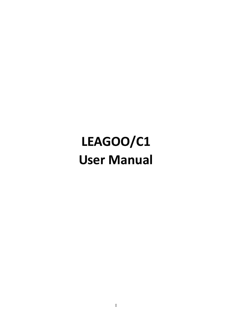# **LEAGOO/C1 User Manual**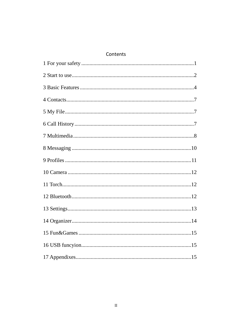## Contents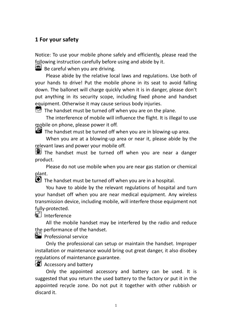## <span id="page-2-0"></span>**1 For your safety**

Notice: To use your mobile phone safely and efficiently, please read the following instruction carefully before using and abide by it.

Be careful when you are driving.

Please abide by the relative local laws and regulations. Use both of your hands to drive! Put the mobile phone in its seat to avoid falling down. The ballonet will charge quickly when it is in danger, please don't put anything in its security scope, including fixed phone and handset equipment. Otherwise it may cause serious body injuries.

 $\mathbb{Z}$  The handset must be turned off when you are on the plane.

The interference of mobile will influence the flight. It is illegal to use mobile on phone, please power it off.

The handset must be turned off when you are in blowing-up area.

When you are at a blowing-up area or near it, please abide by the relevant laws and power your mobile off.

The handset must be turned off when you are near a danger product.

Please do not use mobile when you are near gas station or chemical plant.

The handset must be turned off when you are in a hospital.

You have to abide by the relevant regulations of hospital and turn your handset off when you are near medical equipment. Any wireless transmission device, including mobile, will interfere those equipment not fully-protected.

Interference

All the mobile handset may be interfered by the radio and reduce the performance of the handset.

**Professional service** 

Only the professional can setup or maintain the handset. Improper installation or maintenance would bring out great danger, it also disobey regulations of maintenance guarantee.

**Accessory and battery** 

Only the appointed accessory and battery can be used. It is suggested that you return the used battery to the factory or put it in the appointed recycle zone. Do not put it together with other rubbish or discard it.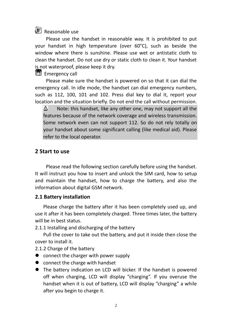# Reasonable use

Please use the handset in reasonable way. It is prohibited to put your handset in high temperature (over 60°C), such as beside the window where there is sunshine. Please use wet or antistatic cloth to clean the handset. Do not use dry or static cloth to clean it. Your handset is not waterproof, please keep it dry.

## **Emergency call**

Please make sure the handset is powered on so that it can dial the emergency call. In idle mode, the handset can dial emergency numbers, such as 112, 100, 101 and 102. Press dial key to dial it, report your location and the situation briefly. Do not end the call without permission.

◬ Note: this handset, like any other one, may not support all the features because of the network coverage and wireless transmission. Some network even can not support 112. So do not rely totally on your handset about some significant calling (like medical aid). Please refer to the local operator.

## <span id="page-3-0"></span>**2 Start to use**

Please read the following section carefully before using the handset. It will instruct you how to insert and unlock the SIM card, how to setup and maintain the handset, how to charge the battery, and also the information about digital GSM network.

#### **2.1 Battery installation**

Please charge the battery after it has been completely used up, and use it after it has been completely charged. Three times later, the battery will be in best status.

2.1.1 Installing and discharging of the battery

Pull the cover to take out the battery, and put it inside then close the cover to install it.

2.1.2 Charge of the battery

- $\bullet$  connect the charger with power supply
- connect the charge with handset
- The battery indication on LCD will bicker. If the handset is powered off when charging, LCD will display "charging". If you overuse the handset when it is out of battery, LCD will display "charging" a while after you begin to charge it.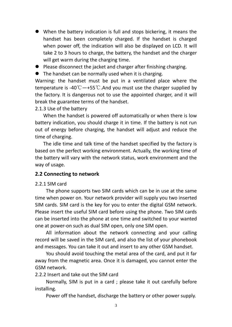- When the battery indication is full and stops bickering, it means the handset has been completely charged. If the handset is charged when power off, the indication will also be displayed on LCD. It will take 2 to 3 hours to charge, the battery, the handset and the charger will get warm during the charging time.
- Please disconnect the jacket and charger after finishing charging.
- The handset can be normally used when it is charging.

Warning: the handset must be put in a ventilated place where the temperature is -40 $\degree$ C  $-$ +55 $\degree$ C. And you must use the charger supplied by the factory. It is dangerous not to use the appointed charger, and it will break the guarantee terms of the handset.

## 2.1.3 Use of the battery

When the handset is powered off automatically or when there is low battery indication, you should charge it in time. If the battery is not run out of energy before charging, the handset will adjust and reduce the time of charging.

The idle time and talk time of the handset specified by the factory is based on the perfect working environment. Actually, the working time of the battery will vary with the network status, work environment and the way of usage.

## **2.2 Connecting to network**

## 2.2.1 SIM card

The phone supports two SIM cards which can be in use at the same time when power on. Your network provider will supply you two inserted SIM cards. SIM card is the key for you to enter the digital GSM network. Please insert the useful SIM card before using the phone. Two SIM cards can be inserted into the phone at one time and switched to your wanted one at power-on such as dual SIM open, only one SIM open.

All information about the network connecting and your calling record will be saved in the SIM card, and also the list of your phonebook and messages. You can take it out and insert to any other GSM handset.

You should avoid touching the metal area of the card, and put it far away from the magnetic area. Once it is damaged, you cannot enter the GSM network.

## 2.2.2 Insert and take out the SIM card

Normally, SIM is put in a card ; please take it out carefully before installing.

Power off the handset, discharge the battery or other power supply.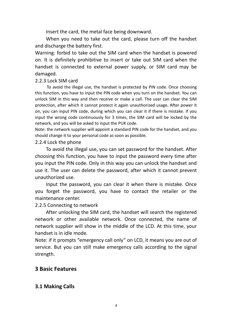Insert the card, the metal face being downward.

When you need to take out the card, please turn off the handset and discharge the battery first.

Warning: forbid to take out the SIM card when the handset is powered on. It is definitely prohibitive to insert or take out SIM card when the handset is connected to external power supply, or SIM card may be damaged.

#### 2.2.3 Lock SIM card

To avoid the illegal use, the handset is protected by PIN code. Once choosing this function, you have to input the PIN code when you turn on the handset. You can unlock SIM in this way and then receive or make a call. The user can clear the SIM protection, after which it cannot protect it again unauthorized usage. After power it on, you can input PIN code, during which you can clear it if there is mistake. If you input the wrong code continuously for 3 times, the SIM card will be locked by the network, and you will be asked to input the PUK code.

Note: the network supplier will appoint a standard PIN code for the handset, and you should change it to your personal code as soon as possible.

## 2.2.4 Lock the phone

To avoid the illegal use, you can set password for the handset. After choosing this function, you have to input the password every time after you input the PIN code. Only in this way you can unlock the handset and use it. The user can delete the password, after which it cannot prevent unauthorized use.

Input the password, you can clear it when there is mistake. Once you forget the password, you have to contact the retailer or the maintenance center.

## 2.2.5 Connecting to network

After unlocking the SIM card, the handset will search the registered network or other available network. Once connected, the name of network supplier will show in the middle of the LCD. At this time, your handset is in idle mode.

Note: if it prompts "emergency call only" on LCD, it means you are out of service. But you can still make emergency calls according to the signal strength.

## <span id="page-5-0"></span>**3 Basic Features**

## **3.1 Making Calls**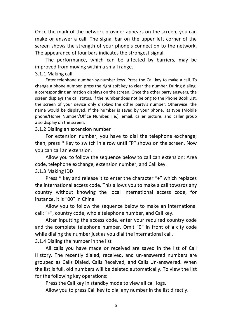Once the mark of the network provider appears on the screen, you can make or answer a call. The signal bar on the upper left corner of the screen shows the strength of your phone's connection to the network. The appearance of four bars indicates the strongest signal.

The performance, which can be affected by barriers, may be improved from moving within a small range.

#### 3.1.1 Making call

 Enter telephone number-by-number keys. Press the Call key to make a call. To change a phone number, press the right soft key to clear the number. During dialing, a corresponding animation displays on the screen. Once the other party answers, the screen displays the call status. If the number does not belong to the Phone Book List, the screen of your device only displays the other party's number. Otherwise, the name would be displayed. If the number is saved by your phone, its type (Mobile phone/Home Number/Office Number, i.e.), email, caller picture, and caller group also display on the screen.

#### 3.1.2 Dialing an extension number

For extension number, you have to dial the telephone exchange; then, press \* Key to switch in a row until "P" shows on the screen. Now you can call an extension.

Allow you to follow the sequence below to call can extension: Area code, telephone exchange, extension number, and Call key.

#### 3.1.3 Making IDD

Press \* key and release it to enter the character "+" which replaces the international access code. This allows you to make a call towards any country without knowing the local international access code, for instance, it is "00" in China.

Allow you to follow the sequence below to make an international call: "+", country code, whole telephone number, and Call key.

After inputting the access code, enter your required country code and the complete telephone number. Omit "0" in front of a city code while dialing the number just as you dial the international call.

3.1.4 Dialing the number in the list

All calls you have made or received are saved in the list of Call History. The recently dialed, received, and un-answered numbers are grouped as Calls Dialed, Calls Received, and Calls Un-answered. When the list is full, old numbers will be deleted automatically. To view the list for the following key operations:

Press the Call key in standby mode to view all call logs.

Allow you to press Call key to dial any number in the list directly.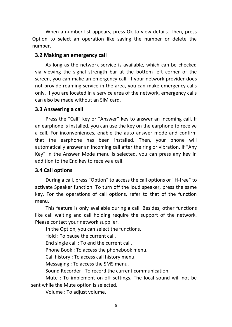When a number list appears, press Ok to view details. Then, press Option to select an operation like saving the number or delete the number.

#### **3.2 Making an emergency call**

As long as the network service is available, which can be checked via viewing the signal strength bar at the bottom left corner of the screen, you can make an emergency call. If your network provider does not provide roaming service in the area, you can make emergency calls only. If you are located in a service area of the network, emergency calls can also be made without an SIM card.

## **3.3 Answering a call**

Press the "Call" key or "Answer" key to answer an incoming call. If an earphone is installed, you can use the key on the earphone to receive a call. For inconveniences, enable the auto answer mode and confirm that the earphone has been installed. Then, your phone will automatically answer an incoming call after the ring or vibration. If "Any Key" in the Answer Mode menu is selected, you can press any key in addition to the End key to receive a call.

## **3.4 Call options**

During a call, press "Option" to access the call options or "H-free" to activate Speaker function. To turn off the loud speaker, press the same key. For the operations of call options, refer to that of the function menu.

This feature is only available during a call. Besides, other functions like call waiting and call holding require the support of the network. Please contact your network supplier.

In the Option, you can select the functions.

Hold : To pause the current call.

End single call : To end the current call.

Phone Book : To access the phonebook menu.

Call history : To access call history menu.

Messaging : To access the SMS menu.

Sound Recorder : To record the current communication.

Mute : To implement on-off settings. The local sound will not be sent while the Mute option is selected.

Volume : To adjust volume.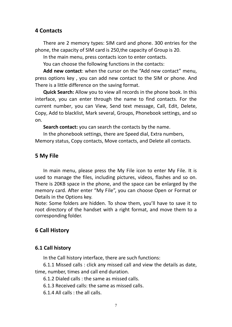## <span id="page-8-0"></span>**4 Contacts**

There are 2 memory types: SIM card and phone. 300 entries for the phone, the capacity of SIM card is 250,the capacity of Group is 20.

In the main menu, press contacts icon to enter contacts.

You can choose the following functions in the contacts:

**Add new contact**: when the cursor on the "Add new contact" menu, press options key , you can add new contact to the SIM or phone. And There is a little difference on the saving format.

**Quick Search:** Allow you to view all records in the phone book. In this interface, you can enter through the name to find contacts. For the current number, you can View, Send text message, Call, Edit, Delete, Copy, Add to blacklist, Mark several, Groups, Phonebook settings, and so on.

**Search contact:** you can search the contacts by the name.

In the phonebook settings, there are Speed dial, Extra numbers,

<span id="page-8-1"></span>Memory status, Copy contacts, Move contacts, and Delete all contacts.

## **5 My File**

In main menu, please press the My File icon to enter My File. It is used to manage the files, including pictures, videos, flashes and so on. There is 20KB space in the phone, and the space can be enlarged by the memory card. After enter "My File", you can choose Open or Format or Details in the Options key.

Note: Some folders are hidden. To show them, you'll have to save it to root directory of the handset with a right format, and move them to a corresponding folder.

## <span id="page-8-2"></span>**6 Call History**

## **6.1 Call history**

In the Call history interface, there are such functions:

6.1.1 Missed calls : click any missed call and view the details as date, time, number, times and call end duration.

6.1.2 Dialed calls : the same as missed calls.

6.1.3 Received calls: the same as missed calls.

6.1.4 All calls : the all calls.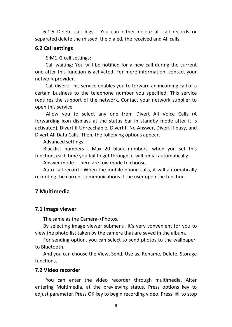6.1.5 Delete call logs : You can either delete all call records or separated delete the missed, the dialed, the received and All calls.

## **6.2 Call settings**

SIM1 /2 call settings:

Call waiting: You will be notified for a new call during the current one after this function is activated. For more information, contact your network provider.

Call divert: This service enables you to forward an incoming call of a certain business to the telephone number you specified. This service requires the support of the network. Contact your network supplier to open this service.

Allow you to select any one from Divert All Voice Calls (A forwarding icon displays at the status bar in standby mode after it is activated), Divert If Unreachable**,** Divert If No Answer, Divert If busy, and Divert All Data Calls. Then, the following options appear.

Advanced settings:

Blacklist numbers : Max 20 black numbers. when you set this function, each time you fail to get through, it will redial automatically.

Answer mode : There are tow mode to choose.

Auto call record : When the mobile phone calls, it will automatically recording the current communications if the user open the function.

# <span id="page-9-0"></span>**7 Multimedia**

## **7.1 Image viewer**

The same as the Camera->Photos.

By selecting image viewer submenu, it's very convenient for you to view the photo list taken by the camera that are saved in the album.

For sending option, you can select to send photos to the wallpaper, to Bluetooth.

And you can choose the View, Send, Use as, Rename, Delete, Storage functions.

## **7.2 Video recorder**

 You can enter the video recorder through multimedia. After entering Multimedia, at the previewing status. Press options key to adjust parameter. Press OK key to begin recording video. Press **under** to stop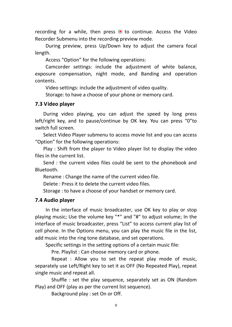recording for a while, then press  $\cdot$  to continue. Access the Video Recorder Submenu into the recording preview mode.

During preview, press Up/Down key to adjust the camera focal length.

Access "Option" for the following operations:

Camcorder settings: include the adjustment of white balance, exposure compensation, night mode, and Banding and operation contents.

Video settings: include the adjustment of video quality.

Storage: to have a choose of your phone or memory card.

## **7.3 Video player**

During video playing, you can adjust the speed by long press left/right key, and to pause/continue by OK key. You can press "0"to switch full screen.

Select Video Player submenu to access movie list and you can access "Option" for the following operations:

Play : Shift from the player to Video player list to display the video files in the current list.

Send : the current video files could be sent to the phonebook and Bluetooth.

Rename : Change the name of the current video file.

Delete : Press it to delete the current video files.

Storage : to have a choose of your handset or memory card.

## **7.4 Audio player**

In the interface of music broadcaster, use OK key to play or stop playing music; Use the volume key "\*" and "#" to adjust volume; In the interface of music broadcaster, press "List" to access current play list of cell phone. In the Options menu, you can play the music file in the list, add music into the ring tone database, and set operations.

Specific settings in the setting options of a certain music file:

Pre. Playlist : Can choose memory card or phone.

Repeat : Allow you to set the repeat play mode of music, separately use Left/Right key to set it as OFF (No Repeated Play), repeat single music and repeat all.

Shuffle : set the play sequence, separately set as ON (Random Play) and OFF (play as per the current list sequence).

Background play : set On or Off.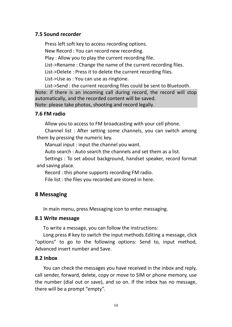## **7.5 Sound recorder**

Press left soft key to access recording options.

New Record : You can record new recording.

Play : Allow you to play the current recording file.

List->Rename : Change the name of the current recording files.

List->Delete : Press it to delete the current recording files.

List->Use as : You can use as ringtone.

List->Send : the current recording files could be sent to Bluetooth. Note: if there is an incoming call during record, the record will stop automatically, and the recorded content will be saved. Note: please take photos, shooting and record legally.

## **7.6 FM radio**

Allow you to access to FM broadcasting with your cell phone.

Channel list : After setting some channels, you can switch among them by pressing the numeric key.

Manual input : input the channel you want.

Auto search : Auto search the channels and set them as a list.

Settings : To set about background, handset speaker, record format and saving place.

Record : this phone supports recording FM radio.

File list : the files you recorded are stored in here.

# <span id="page-11-0"></span>**8 Messaging**

In main menu, press Messaging icon to enter messaging.

## **8.1 Write message**

To write a message, you can follow the instructions:

Long press # key to switch the input methods.Editing a message, click "options" to go to the following options: Send to, input method, Advanced insert number and Save.

## **8.2 Inbox**

You can check the messages you have received in the inbox and reply, call sender, forward, delete, copy or move to SIM or phone memory, use the number (dial out or save), and so on. If the inbox has no message, there will be a prompt "empty".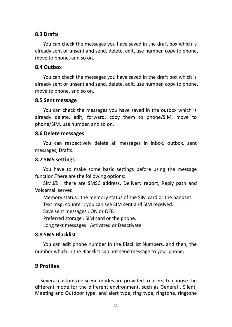## **8.3 Drafts**

You can check the messages you have saved in the draft box which is already sent or unsent and send, delete, edit, use number, copy to phone, move to phone, and so on.

#### **8.4 Outbox**

You can check the messages you have saved in the draft box which is already sent or unsent and send, delete, edit, use number, copy to phone, move to phone, and so on.

#### **8.5 Sent message**

You can check the messages you have saved in the outbox which is already delete, edit, forward, copy them to phone/SIM, move to phone/SIM, use number, and so on.

#### **8.6 Delete messages**

You can respectively delete all messages in inbox, outbox, sent messages, Drafts.

#### **8.7 SMS settings**

You have to make some basic settings before using the message function.There are the following options:

SIM1/2 : there are SMSC address, Delivery report, Reply path and Voicemail server.

Memory status : the memory status of the SIM card or the handset.

Text msg. counter : you can see SIM sent and SIM received.

Save sent messages : ON or OFF.

Preferred storage : SIM card or the phone.

Long text messages : Activated or Deactivate.

#### **8.8 SMS Blacklist**

You can edit phone number in the Blacklist Numbers. and then, the number which in the Blacklist can not send message to your phone.

## <span id="page-12-0"></span>**9 Profiles**

Several customized scene modes are provided to users, to choose the different mode for the different environment, such as General , Silent, Meeting and Outdoor type. and alert type, ring type, ringtone, ringtone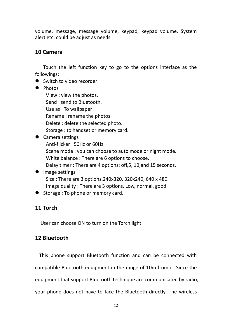volume, message, message volume, keypad, keypad volume, System alert etc. could be adjust as needs.

## <span id="page-13-0"></span>**10 Camera**

Touch the left function key to go to the options interface as the followings:

- Switch to video recorder
- $\bullet$  Photos

View : view the photos. Send : send to Bluetooth. Use as : To wallpaper . Rename : rename the photos. Delete : delete the selected photo. Storage : to handset or memory card. • Camera settings Anti-flicker : 50Hz or 60Hz. Scene mode : you can choose to auto mode or night mode.

- White balance : There are 6 options to choose.
- Delay timer : There are 4 options: off,5, 10,and 15 seconds.

**•** Image settings

Size : There are 3 options.240x320, 320x240, 640 x 480. Image quality : There are 3 options. Low, normal, good.

<span id="page-13-1"></span> $\bullet$  Storage : To phone or memory card.

## **11 Torch**

User can choose ON to turn on the Torch light.

## <span id="page-13-2"></span>**12 Bluetooth**

 This phone support Bluetooth function and can be connected with compatible Bluetooth equipment in the range of 10m from it. Since the equipment that support Bluetooth technique are communicated by radio, your phone does not have to face the Bluetooth directly. The wireless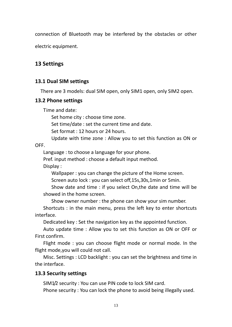connection of Bluetooth may be interfered by the obstacles or other electric equipment.

## <span id="page-14-0"></span>**13 Settings**

## **13.1 Dual SIM settings**

There are 3 models: dual SIM open, only SIM1 open, only SIM2 open.

## **13.2 Phone settings**

Time and date:

Set home city : choose time zone.

Set time/date : set the current time and date.

Set format : 12 hours or 24 hours.

Update with time zone : Allow you to set this function as ON or

OFF.

Language : to choose a language for your phone.

Pref. input method : choose a default input method.

Display :

Wallpaper : you can change the picture of the Home screen.

Screen auto lock : you can select off,15s,30s,1min or 5min.

Show date and time : if you select On,the date and time will be showed in the home screen.

Show owner number : the phone can show your sim number.

Shortcuts : in the main menu, press the left key to enter shortcuts interface.

Dedicated key : Set the navigation key as the appointed function.

Auto update time : Allow you to set this function as ON or OFF or First confirm.

Flight mode : you can choose flight mode or normal mode. In the flight mode,you will could not call.

Misc. Settings : LCD backlight : you can set the brightness and time in the interface.

## **13.3 Security settings**

SIM1/2 security : You can use PIN code to lock SIM card. Phone security : You can lock the phone to avoid being illegally used.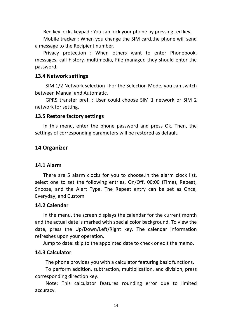Red key locks keypad : You can lock your phone by pressing red key. Mobile tracker : When you change the SIM card,the phone will send a message to the Recipient number.

Privacy protection : When others want to enter Phonebook, messages, call history, multimedia, File manager. they should enter the password.

## **13.4 Network settings**

SIM 1/2 Network selection : For the Selection Mode, you can switch between Manual and Automatic.

GPRS transfer pref. : User could choose SIM 1 network or SIM 2 network for setting.

## **13.5 Restore factory settings**

In this menu, enter the phone password and press Ok. Then, the settings of corresponding parameters will be restored as default.

## <span id="page-15-0"></span>**14 Organizer**

## **14.1 Alarm**

There are 5 alarm clocks for you to choose.In the alarm clock list, select one to set the following entries, On/Off, 00:00 (Time), Repeat, Snooze, and the Alert Type. The Repeat entry can be set as Once, Everyday, and Custom.

## **14.2 Calendar**

In the menu, the screen displays the calendar for the current month and the actual date is marked with special color background. To view the date, press the Up/Down/Left/Right key. The calendar information refreshes upon your operation.

Jump to date: skip to the appointed date to check or edit the memo.

## **14.3 Calculator**

The phone provides you with a calculator featuring basic functions.

To perform addition, subtraction, multiplication, and division, press corresponding direction key.

Note: This calculator features rounding error due to limited accuracy.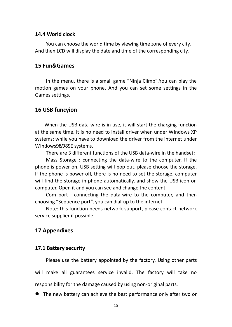#### **14.4 World clock**

You can choose the world time by viewing time zone of every city. And then LCD will display the date and time of the corresponding city.

#### <span id="page-16-0"></span>**15 Fun&Games**

In the menu, there is a small game "Ninja Climb".You can play the motion games on your phone. And you can set some settings in the Games settings.

## <span id="page-16-1"></span>**16 USB funcyion**

When the USB data-wire is in use, it will start the charging function at the same time. It is no need to install driver when under Windows XP systems; while you have to download the driver from the internet under Windows98/98SE systems.

There are 3 different functions of the USB data-wire in the handset:

Mass Storage : connecting the data-wire to the computer, If the phone is power on, USB setting will pop out, please choose the storage. If the phone is power off, there is no need to set the storage, computer will find the storage in phone automatically, and show the USB icon on computer. Open it and you can see and change the content.

Com port : connecting the data-wire to the computer, and then choosing "Sequence port", you can dial-up to the internet.

Note: this function needs network support, please contact network service supplier if possible.

#### <span id="page-16-2"></span>**17 Appendixes**

#### **17.1 Battery security**

Please use the battery appointed by the factory. Using other parts will make all guarantees service invalid. The factory will take no responsibility for the damage caused by using non-original parts.

The new battery can achieve the best performance only after two or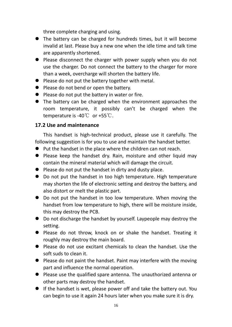three complete charging and using.

- The battery can be charged for hundreds times, but it will become invalid at last. Please buy a new one when the idle time and talk time are apparently shortened.
- Please disconnect the charger with power supply when you do not use the charger. Do not connect the battery to the charger for more than a week, overcharge will shorten the battery life.
- Please do not put the battery together with metal.
- **Please do not bend or open the battery.**
- $\bullet$  Please do not put the battery in water or fire.
- The battery can be charged when the environment approaches the room temperature, it possibly can't be charged when the temperature is -40℃ or +55℃.

## **17.2 Use and maintenance**

This handset is high-technical product, please use it carefully. The following suggestion is for you to use and maintain the handset better.

- **•** Put the handset in the place where the children can not reach.
- Please keep the handset dry. Rain, moisture and other liquid may contain the mineral material which will damage the circuit.
- Please do not put the handset in dirty and dusty place.
- Do not put the handset in too high temperature. High temperature may shorten the life of electronic setting and destroy the battery, and also distort or melt the plastic part.
- Do not put the handset in too low temperature. When moving the handset from low temperature to high, there will be moisture inside, this may destroy the PCB.
- Do not discharge the handset by yourself. Laypeople may destroy the setting.
- Please do not throw, knock on or shake the handset. Treating it roughly may destroy the main board.
- Please do not use excitant chemicals to clean the handset. Use the soft suds to clean it.
- Please do not paint the handset. Paint may interfere with the moving part and influence the normal operation.
- Please use the qualified spare antenna. The unauthorized antenna or other parts may destroy the handset.
- $\bullet$  If the handset is wet, please power off and take the battery out. You can begin to use it again 24 hours later when you make sure it is dry.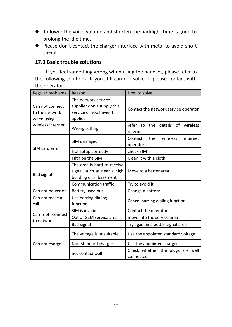- To lower the voice volume and shorten the backlight time is good to prolong the idle time.
- Please don't contact the charger interface with metal to avoid short circuit.

## **17.3 Basic trouble solutions**

If you feel something wrong when using the handset, please refer to the following solutions. If you still can not solve it, please contact with the operator.

| Regular problems                                                     | Reason                                                                                 | How to solve                                       |  |
|----------------------------------------------------------------------|----------------------------------------------------------------------------------------|----------------------------------------------------|--|
| Can not connect<br>to the network<br>when using<br>wireless internet | The network service<br>supplier don't supply this<br>service or you haven't<br>applied | Contact the network service operator               |  |
|                                                                      | Wrong setting                                                                          | refer to the details of wireless<br>internet       |  |
| SIM card error                                                       | SIM damaged                                                                            | the<br>Contact<br>wireless<br>internet<br>operator |  |
|                                                                      | Not setup correctly                                                                    | check SIM                                          |  |
|                                                                      | Filth on the SIM                                                                       | Clean it with a cloth                              |  |
| <b>Bad signal</b>                                                    | The area is hard to receive<br>signal, such as near a high<br>building or in basement  | Move to a better area                              |  |
|                                                                      | <b>Communication traffic</b>                                                           | Try to avoid it                                    |  |
| Can not power on                                                     | Battery used out                                                                       | Change a battery                                   |  |
| Can not make a<br>call                                               | Use barring dialing<br>function                                                        | Cancel barring dialing function                    |  |
| Can not connect<br>to network                                        | SIM is invalid                                                                         | Contact the operator                               |  |
|                                                                      | Out of GSM service area                                                                | move into the service area                         |  |
|                                                                      | <b>Bad signal</b>                                                                      | Try again in a better signal area                  |  |
|                                                                      | The voltage is unsuitable                                                              | Use the appointed standard voltage                 |  |
| Can not charge                                                       | Non-standard charger                                                                   | Use the appointed charger                          |  |
|                                                                      | not contact well                                                                       | Check whether the plugs are well<br>connected.     |  |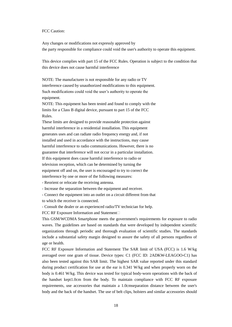#### FCC Caution:

Any changes or modifications not expressly approved by the party responsible for compliance could void the user's authority to operate this equipment.

This device complies with part 15 of the FCC Rules. Operation is subject to the condition that this device does not cause harmful interference

NOTE: The manufacturer is not responsible for any radio or TV interference caused by unauthorized modifications to this equipment. Such modifications could void the user's authority to operate the equipment.

NOTE: This equipment has been tested and found to comply with the limits for a Class B digital device, pursuant to part 15 of the FCC Rules.

These limits are designed to provide reasonable protection against harmful interference in a residential installation. This equipment generates uses and can radiate radio frequency energy and, if not installed and used in accordance with the instructions, may cause harmful interference to radio communications. However, there is no guarantee that interference will not occur in a particular installation. If this equipment does cause harmful interference to radio or television reception, which can be determined by turning the equipment off and on, the user is encouraged to try to correct the interference by one or more of the following measures:

- Reorient or relocate the receiving antenna.

- Increase the separation between the equipment and receiver.

- Connect the equipment into an outlet on a circuit different from that to which the receiver is connected.

- Consult the dealer or an experienced radio/TV technician for help.

FCC RF Exposure Information and Statement

This GSM/WCDMA Smartphone meets the government's requirements for exposure to radio waves. The guidelines are based on standards that were developed by independent scientific organizations through periodic and thorough evaluation of scientific studies. The standards include a substantial safety margin designed to assure the safety of all persons regardless of age or health.

FCC RF Exposure Information and Statement The SAR limit of USA (FCC) is 1.6 W/kg averaged over one gram of tissue. Device types: C1 (FCC ID: 2ADKW-LEAGOO-C1) has also been tested against this SAR limit. The highest SAR value reported under this standard during product certification for use at the ear is 0.341 W/kg and when properly worn on the body is 0.461 W/kg. This device was tested for typical body-worn operations with the back of the handset kept1.0cm from the body. To maintain compliance with FCC RF exposure requirements, use accessories that maintain a 1.0cmseparation distance between the user's body and the back of the handset. The use of belt clips, holsters and similar accessories should